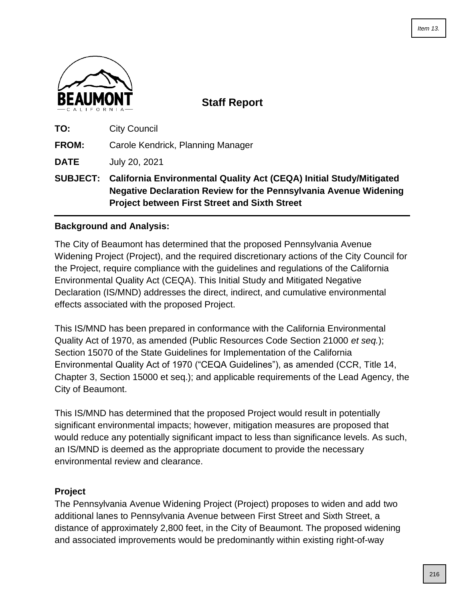

**Staff Report**

| <b>City Council</b><br>TO: |  |
|----------------------------|--|
|----------------------------|--|

**FROM:** Carole Kendrick, Planning Manager

**DATE** July 20, 2021

**SUBJECT: California Environmental Quality Act (CEQA) Initial Study/Mitigated Negative Declaration Review for the Pennsylvania Avenue Widening Project between First Street and Sixth Street**

# **Background and Analysis:**

The City of Beaumont has determined that the proposed Pennsylvania Avenue Widening Project (Project), and the required discretionary actions of the City Council for the Project, require compliance with the guidelines and regulations of the California Environmental Quality Act (CEQA). This Initial Study and Mitigated Negative Declaration (IS/MND) addresses the direct, indirect, and cumulative environmental effects associated with the proposed Project.

This IS/MND has been prepared in conformance with the California Environmental Quality Act of 1970, as amended (Public Resources Code Section 21000 *et seq.*); Section 15070 of the State Guidelines for Implementation of the California Environmental Quality Act of 1970 ("CEQA Guidelines"), as amended (CCR, Title 14, Chapter 3, Section 15000 et seq.); and applicable requirements of the Lead Agency, the City of Beaumont.

This IS/MND has determined that the proposed Project would result in potentially significant environmental impacts; however, mitigation measures are proposed that would reduce any potentially significant impact to less than significance levels. As such, an IS/MND is deemed as the appropriate document to provide the necessary environmental review and clearance.

## **Project**

The Pennsylvania Avenue Widening Project (Project) proposes to widen and add two additional lanes to Pennsylvania Avenue between First Street and Sixth Street, a distance of approximately 2,800 feet, in the City of Beaumont. The proposed widening and associated improvements would be predominantly within existing right-of-way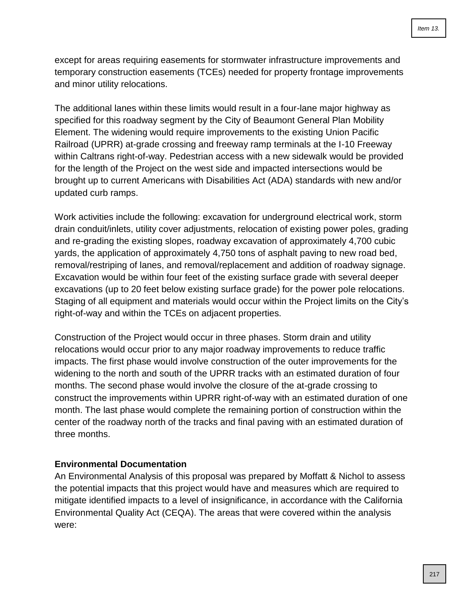except for areas requiring easements for stormwater infrastructure improvements and temporary construction easements (TCEs) needed for property frontage improvements and minor utility relocations.

The additional lanes within these limits would result in a four-lane major highway as specified for this roadway segment by the City of Beaumont General Plan Mobility Element. The widening would require improvements to the existing Union Pacific Railroad (UPRR) at-grade crossing and freeway ramp terminals at the I-10 Freeway within Caltrans right-of-way. Pedestrian access with a new sidewalk would be provided for the length of the Project on the west side and impacted intersections would be brought up to current Americans with Disabilities Act (ADA) standards with new and/or updated curb ramps.

Work activities include the following: excavation for underground electrical work, storm drain conduit/inlets, utility cover adjustments, relocation of existing power poles, grading and re-grading the existing slopes, roadway excavation of approximately 4,700 cubic yards, the application of approximately 4,750 tons of asphalt paving to new road bed, removal/restriping of lanes, and removal/replacement and addition of roadway signage. Excavation would be within four feet of the existing surface grade with several deeper excavations (up to 20 feet below existing surface grade) for the power pole relocations. Staging of all equipment and materials would occur within the Project limits on the City's right-of-way and within the TCEs on adjacent properties.

Construction of the Project would occur in three phases. Storm drain and utility relocations would occur prior to any major roadway improvements to reduce traffic impacts. The first phase would involve construction of the outer improvements for the widening to the north and south of the UPRR tracks with an estimated duration of four months. The second phase would involve the closure of the at-grade crossing to construct the improvements within UPRR right-of-way with an estimated duration of one month. The last phase would complete the remaining portion of construction within the center of the roadway north of the tracks and final paving with an estimated duration of three months.

## **Environmental Documentation**

An Environmental Analysis of this proposal was prepared by Moffatt & Nichol to assess the potential impacts that this project would have and measures which are required to mitigate identified impacts to a level of insignificance, in accordance with the California Environmental Quality Act (CEQA). The areas that were covered within the analysis were: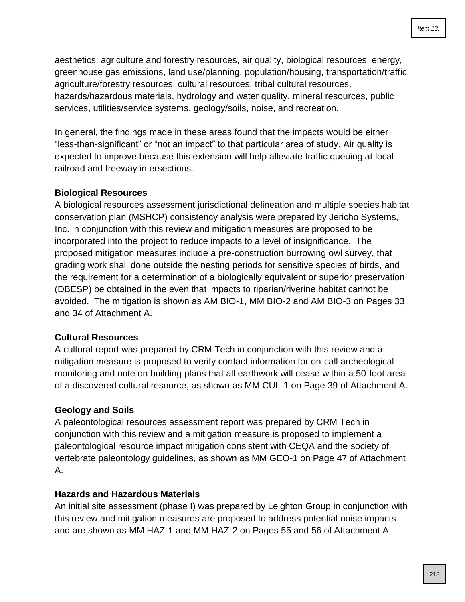aesthetics, agriculture and forestry resources, air quality, biological resources, energy, greenhouse gas emissions, land use/planning, population/housing, transportation/traffic, agriculture/forestry resources, cultural resources, tribal cultural resources, hazards/hazardous materials, hydrology and water quality, mineral resources, public services, utilities/service systems, geology/soils, noise, and recreation.

In general, the findings made in these areas found that the impacts would be either "less-than-significant" or "not an impact" to that particular area of study. Air quality is expected to improve because this extension will help alleviate traffic queuing at local railroad and freeway intersections.

## **Biological Resources**

A biological resources assessment jurisdictional delineation and multiple species habitat conservation plan (MSHCP) consistency analysis were prepared by Jericho Systems, Inc. in conjunction with this review and mitigation measures are proposed to be incorporated into the project to reduce impacts to a level of insignificance. The proposed mitigation measures include a pre-construction burrowing owl survey, that grading work shall done outside the nesting periods for sensitive species of birds, and the requirement for a determination of a biologically equivalent or superior preservation (DBESP) be obtained in the even that impacts to riparian/riverine habitat cannot be avoided. The mitigation is shown as AM BIO-1, MM BIO-2 and AM BIO-3 on Pages 33 and 34 of Attachment A.

## **Cultural Resources**

A cultural report was prepared by CRM Tech in conjunction with this review and a mitigation measure is proposed to verify contact information for on-call archeological monitoring and note on building plans that all earthwork will cease within a 50-foot area of a discovered cultural resource, as shown as MM CUL-1 on Page 39 of Attachment A.

## **Geology and Soils**

A paleontological resources assessment report was prepared by CRM Tech in conjunction with this review and a mitigation measure is proposed to implement a paleontological resource impact mitigation consistent with CEQA and the society of vertebrate paleontology guidelines, as shown as MM GEO-1 on Page 47 of Attachment A.

## **Hazards and Hazardous Materials**

An initial site assessment (phase I) was prepared by Leighton Group in conjunction with this review and mitigation measures are proposed to address potential noise impacts and are shown as MM HAZ-1 and MM HAZ-2 on Pages 55 and 56 of Attachment A.